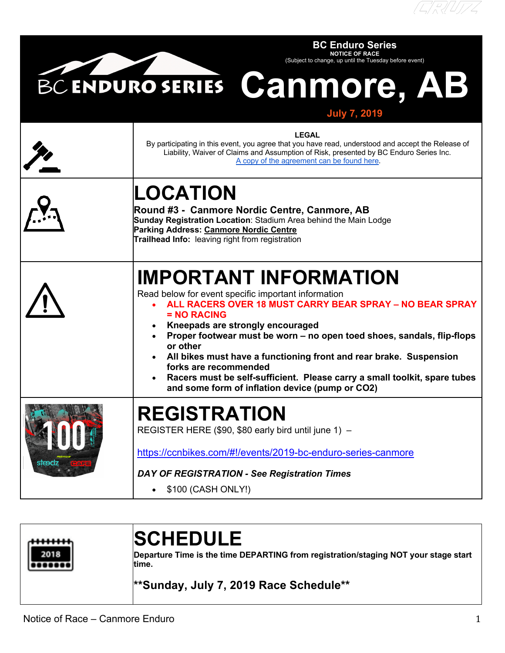|                | <b>BC Enduro Series</b><br><b>NOTICE OF RACE</b><br>(Subject to change, up until the Tuesday before event)<br>BCENDUROSERIES Canmore, AB<br><b>July 7, 2019</b>                                                                                                                                                                                                                                                                                                                                                                        |
|----------------|----------------------------------------------------------------------------------------------------------------------------------------------------------------------------------------------------------------------------------------------------------------------------------------------------------------------------------------------------------------------------------------------------------------------------------------------------------------------------------------------------------------------------------------|
|                | <b>LEGAL</b><br>By participating in this event, you agree that you have read, understood and accept the Release of<br>Liability, Waiver of Claims and Assumption of Risk, presented by BC Enduro Series Inc.<br>A copy of the agreement can be found here.                                                                                                                                                                                                                                                                             |
|                | LOCATION<br>Round #3 - Canmore Nordic Centre, Canmore, AB<br>Sunday Registration Location: Stadium Area behind the Main Lodge<br>Parking Address: Canmore Nordic Centre<br>Trailhead Info: leaving right from registration                                                                                                                                                                                                                                                                                                             |
|                | <b>IMPORTANT INFORMATION</b><br>Read below for event specific important information<br>ALL RACERS OVER 18 MUST CARRY BEAR SPRAY - NO BEAR SPRAY<br>$= NO$ RACING<br>Kneepads are strongly encouraged<br>Proper footwear must be worn - no open toed shoes, sandals, flip-flops<br>$\bullet$<br>or other<br>All bikes must have a functioning front and rear brake. Suspension<br>forks are recommended<br>Racers must be self-sufficient. Please carry a small toolkit, spare tubes<br>and some form of inflation device (pump or CO2) |
| <b>STEDCIZ</b> | <b>REGISTRATION</b><br>REGISTER HERE (\$90, \$80 early bird until june 1) -<br>https://ccnbikes.com/#!/events/2019-bc-enduro-series-canmore<br><b>DAY OF REGISTRATION - See Registration Times</b><br>\$100 (CASH ONLY!)<br>$\bullet$                                                                                                                                                                                                                                                                                                  |



 $1777$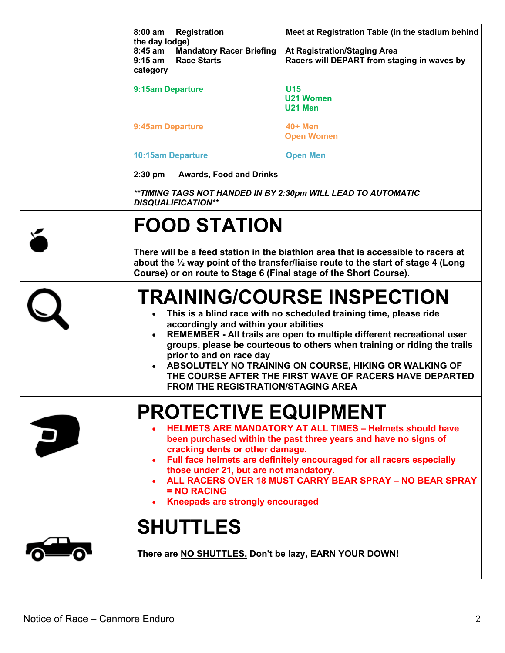| 8:00 am<br>Registration<br>the day lodge)<br>8:45 am<br><b>Mandatory Racer Briefing</b><br><b>Race Starts</b><br>9:15 am<br>category                                 | Meet at Registration Table (in the stadium behind<br><b>At Registration/Staging Area</b><br>Racers will DEPART from staging in waves by                                                                                                                                                                                                                                           |
|----------------------------------------------------------------------------------------------------------------------------------------------------------------------|-----------------------------------------------------------------------------------------------------------------------------------------------------------------------------------------------------------------------------------------------------------------------------------------------------------------------------------------------------------------------------------|
| 9:15am Departure                                                                                                                                                     | <b>U15</b><br><b>U21 Women</b><br>U21 Men                                                                                                                                                                                                                                                                                                                                         |
| 9:45am Departure                                                                                                                                                     | $40+$ Men<br><b>Open Women</b>                                                                                                                                                                                                                                                                                                                                                    |
| <b>10:15am Departure</b>                                                                                                                                             | <b>Open Men</b>                                                                                                                                                                                                                                                                                                                                                                   |
| $2:30$ pm<br><b>Awards, Food and Drinks</b>                                                                                                                          |                                                                                                                                                                                                                                                                                                                                                                                   |
| **TIMING TAGS NOT HANDED IN BY 2:30pm WILL LEAD TO AUTOMATIC<br><b>DISQUALIFICATION**</b>                                                                            |                                                                                                                                                                                                                                                                                                                                                                                   |
| <b>FOOD STATION</b>                                                                                                                                                  |                                                                                                                                                                                                                                                                                                                                                                                   |
| Course) or on route to Stage 6 (Final stage of the Short Course).                                                                                                    | There will be a feed station in the biathlon area that is accessible to racers at<br>about the $\frac{1}{2}$ way point of the transfer/liaise route to the start of stage 4 (Long                                                                                                                                                                                                 |
| accordingly and within your abilities<br>prior to and on race day<br><b>FROM THE REGISTRATION/STAGING AREA</b>                                                       | <b>TRAINING/COURSE INSPECTION</b><br>This is a blind race with no scheduled training time, please ride<br>REMEMBER - All trails are open to multiple different recreational user<br>groups, please be courteous to others when training or riding the trails<br>ABSOLUTELY NO TRAINING ON COURSE, HIKING OR WALKING OF<br>THE COURSE AFTER THE FIRST WAVE OF RACERS HAVE DEPARTED |
| <b>PROTECTIVE EQUIPMENT</b><br>cracking dents or other damage.<br>those under 21, but are not mandatory.<br>$= NO$ RACING<br><b>Kneepads are strongly encouraged</b> | <b>HELMETS ARE MANDATORY AT ALL TIMES - Helmets should have</b><br>been purchased within the past three years and have no signs of<br>Full face helmets are definitely encouraged for all racers especially<br>ALL RACERS OVER 18 MUST CARRY BEAR SPRAY - NO BEAR SPRAY                                                                                                           |
| <b>SHUTTLES</b><br>There are NO SHUTTLES. Don't be lazy, EARN YOUR DOWN!                                                                                             |                                                                                                                                                                                                                                                                                                                                                                                   |